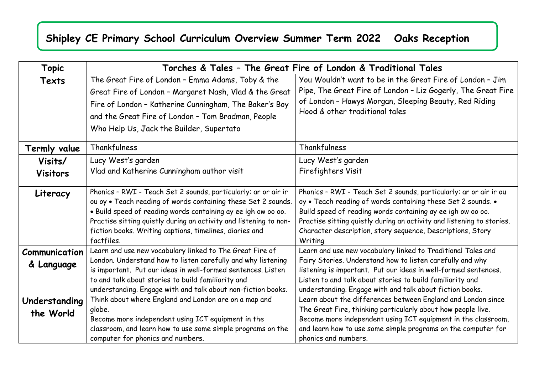## **Shipley CE Primary School Curriculum Overview Summer Term 2022 Oaks Reception**

| <b>Topic</b>                | Torches & Tales - The Great Fire of London & Traditional Tales                                                                                                                                                                                                                                                                                 |                                                                                                                                                                                                                                                                                                                                                    |
|-----------------------------|------------------------------------------------------------------------------------------------------------------------------------------------------------------------------------------------------------------------------------------------------------------------------------------------------------------------------------------------|----------------------------------------------------------------------------------------------------------------------------------------------------------------------------------------------------------------------------------------------------------------------------------------------------------------------------------------------------|
| Texts                       | The Great Fire of London - Emma Adams, Toby & the<br>Great Fire of London - Margaret Nash, Vlad & the Great<br>Fire of London - Katherine Cunningham, The Baker's Boy<br>and the Great Fire of London - Tom Bradman, People<br>Who Help Us, Jack the Builder, Supertato                                                                        | You Wouldn't want to be in the Great Fire of London - Jim<br>Pipe, The Great Fire of London - Liz Gogerly, The Great Fire<br>of London - Hawys Morgan, Sleeping Beauty, Red Riding<br>Hood & other traditional tales                                                                                                                               |
| Termly value                | Thankfulness                                                                                                                                                                                                                                                                                                                                   | Thankfulness                                                                                                                                                                                                                                                                                                                                       |
| Visits/<br><b>Visitors</b>  | Lucy West's garden<br>Vlad and Katherine Cunningham author visit                                                                                                                                                                                                                                                                               | Lucy West's garden<br>Firefighters Visit                                                                                                                                                                                                                                                                                                           |
| Literacy                    | Phonics - RWI - Teach Set 2 sounds, particularly: ar or air ir<br>ou oy . Teach reading of words containing these Set 2 sounds.<br>. Build speed of reading words containing ay ee igh ow oo oo.<br>Practise sitting quietly during an activity and listening to non-<br>fiction books. Writing captions, timelines, diaries and<br>factfiles. | Phonics - RWI - Teach Set 2 sounds, particularly: ar or air ir ou<br>oy . Teach reading of words containing these Set 2 sounds. .<br>Build speed of reading words containing ay ee igh ow oo oo.<br>Practise sitting quietly during an activity and listening to stories.<br>Character description, story sequence, Descriptions, Story<br>Writing |
| Communication<br>& Language | Learn and use new vocabulary linked to The Great Fire of<br>London. Understand how to listen carefully and why listening<br>is important. Put our ideas in well-formed sentences. Listen<br>to and talk about stories to build familiarity and<br>understanding. Engage with and talk about non-fiction books.                                 | Learn and use new vocabulary linked to Traditional Tales and<br>Fairy Stories. Understand how to listen carefully and why<br>listening is important. Put our ideas in well-formed sentences.<br>Listen to and talk about stories to build familiarity and<br>understanding. Engage with and talk about fiction books.                              |
| Understanding<br>the World  | Think about where England and London are on a map and<br>globe.<br>Become more independent using ICT equipment in the<br>classroom, and learn how to use some simple programs on the<br>computer for phonics and numbers.                                                                                                                      | Learn about the differences between England and London since<br>The Great Fire, thinking particularly about how people live.<br>Become more independent using ICT equipment in the classroom,<br>and learn how to use some simple programs on the computer for<br>phonics and numbers.                                                             |